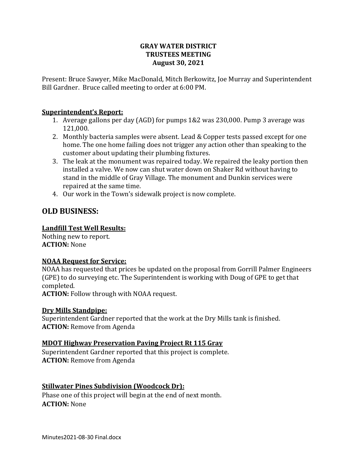#### **GRAY WATER DISTRICT TRUSTEES MEETING August 30, 2021**

Present: Bruce Sawyer, Mike MacDonald, Mitch Berkowitz, Joe Murray and Superintendent Bill Gardner. Bruce called meeting to order at 6:00 PM.

#### **Superintendent's Report:**

- 1. Average gallons per day (AGD) for pumps 1&2 was 230,000. Pump 3 average was 121,000.
- 2. Monthly bacteria samples were absent. Lead & Copper tests passed except for one home. The one home failing does not trigger any action other than speaking to the customer about updating their plumbing fixtures.
- 3. The leak at the monument was repaired today. We repaired the leaky portion then installed a valve. We now can shut water down on Shaker Rd without having to stand in the middle of Gray Village. The monument and Dunkin services were repaired at the same time.
- 4. Our work in the Town's sidewalk project is now complete.

# **OLD BUSINESS:**

#### **Landfill Test Well Results:**

Nothing new to report. **ACTION:** None

#### **NOAA Request for Service:**

NOAA has requested that prices be updated on the proposal from Gorrill Palmer Engineers (GPE) to do surveying etc. The Superintendent is working with Doug of GPE to get that completed.

**ACTION:** Follow through with NOAA request.

#### **Dry Mills Standpipe:**

Superintendent Gardner reported that the work at the Dry Mills tank is finished. **ACTION:** Remove from Agenda

#### **MDOT Highway Preservation Paving Project Rt 115 Gray**

Superintendent Gardner reported that this project is complete. **ACTION:** Remove from Agenda

### **Stillwater Pines Subdivision (Woodcock Dr):**

Phase one of this project will begin at the end of next month. **ACTION:** None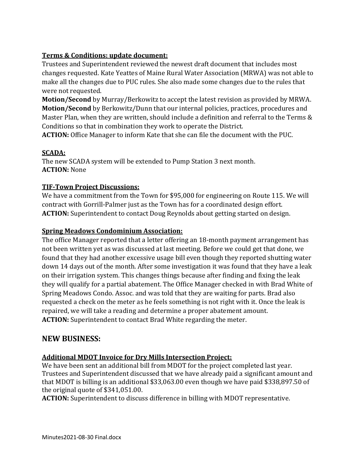### **Terms & Conditions: update document:**

Trustees and Superintendent reviewed the newest draft document that includes most changes requested. Kate Yeattes of Maine Rural Water Association (MRWA) was not able to make all the changes due to PUC rules. She also made some changes due to the rules that were not requested.

**Motion/Second** by Murray/Berkowitz to accept the latest revision as provided by MRWA. **Motion/Second** by Berkowitz/Dunn that our internal policies, practices, procedures and Master Plan, when they are written, should include a definition and referral to the Terms & Conditions so that in combination they work to operate the District.

**ACTION:** Office Manager to inform Kate that she can file the document with the PUC.

### **SCADA:**

The new SCADA system will be extended to Pump Station 3 next month. **ACTION:** None

### **TIF-Town Project Discussions:**

We have a commitment from the Town for \$95,000 for engineering on Route 115. We will contract with Gorrill-Palmer just as the Town has for a coordinated design effort. **ACTION:** Superintendent to contact Doug Reynolds about getting started on design.

### **Spring Meadows Condominium Association:**

The office Manager reported that a letter offering an 18-month payment arrangement has not been written yet as was discussed at last meeting. Before we could get that done, we found that they had another excessive usage bill even though they reported shutting water down 14 days out of the month. After some investigation it was found that they have a leak on their irrigation system. This changes things because after finding and fixing the leak they will qualify for a partial abatement. The Office Manager checked in with Brad White of Spring Meadows Condo. Assoc. and was told that they are waiting for parts. Brad also requested a check on the meter as he feels something is not right with it. Once the leak is repaired, we will take a reading and determine a proper abatement amount. **ACTION:** Superintendent to contact Brad White regarding the meter.

## **NEW BUSINESS:**

### **Additional MDOT Invoice for Dry Mills Intersection Project:**

We have been sent an additional bill from MDOT for the project completed last year. Trustees and Superintendent discussed that we have already paid a significant amount and that MDOT is billing is an additional \$33,063.00 even though we have paid \$338,897.50 of the original quote of \$341,051.00.

**ACTION:** Superintendent to discuss difference in billing with MDOT representative.